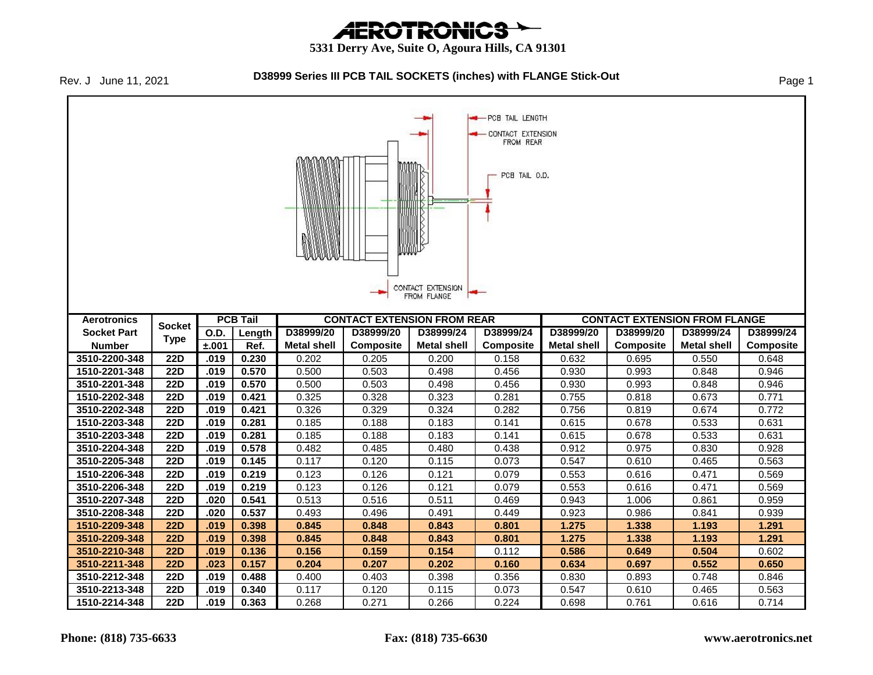# *AEROTRONICS*

#### **5331 Derry Ave, Suite O, Agoura Hills, CA 91301**

Rev. J June 11, 2021

#### **D38999 Series III PCB TAIL SOCKETS (inches) with FLANGE Stick-Out** Page 1

PCB TAIL LENGTH **CONTACT EXTENSION** FROM REAR PCB TAIL O.D. CONTACT EXTENSION FROM FLANGE **PCB Tail CONTACT EXTENSION FROM REAR CONTACT EXTENSION FROM FLANGE Aerotronics Socket Socket Part O.D. Length D38999/20 D38999/20 D38999/24 D38999/24 D38999/20 D38999/20 D38999/24 D38999/24 Type Number ±.001 Ref. Metal shell Composite Metal shell Composite Metal shell Composite Metal shell Composite 3510-2200-348 22D .019 0.230** 0.202 0.205 0.200 0.158 0.632 0.695 0.550 0.648 **1510-2201-348 22D .019 0.570** 0.500 0.503 0.498 0.456 0.930 0.993 0.848 0.946 **3510-2201-348 22D .019 0.570** 0.500 0.503 0.498 0.456 0.930 0.993 0.848 0.946 **1510-2202-348 22D .019 0.421** 0.325 0.328 0.323 0.281 0.755 0.818 0.673 0.771 **3510-2202-348 22D .019 0.421** 0.326 0.329 0.324 0.282 0.756 0.819 0.674 0.772 **1510-2203-348 22D .019 0.281** 0.185 0.188 0.183 0.141 0.615 0.678 0.533 0.631 **3510-2203-348 22D .019 0.281** 0.185 0.188 0.183 0.141 0.615 0.678 0.533 0.631 **3510-2204-348 22D .019 0.578** 0.482 0.485 0.480 0.438 0.912 0.975 0.830 0.928 **3510-2205-348 22D .019 0.145** 0.117 0.120 0.115 0.073 0.547 0.610 0.465 0.563 **1510-2206-348 22D .019 0.219** 0.123 0.126 0.121 0.079 0.553 0.616 0.471 0.569 **3510-2206-348 22D .019 0.219** 0.123 0.126 0.121 0.079 0.553 0.616 0.471 0.569 **3510-2207-348 22D .020 0.541** 0.513 0.516 0.511 0.469 0.943 1.006 0.861 0.959 **3510-2208-348 22D .020 0.537** 0.493 0.496 0.491 0.449 0.923 0.986 0.841 0.939 **1510-2209-348 22D .019 0.398 0.845 0.848 0.843 0.801 1.275 1.338 1.193 1.291 3510-2209-348 22D .019 0.398 0.845 0.848 0.843 0.801 1.275 1.338 1.193 1.291 3510-2210-348 22D .019 0.136 0.156 0.159 0.154** 0.112 **0.586 0.649 0.504** 0.602 **3510-2211-348 22D .023 0.157 0.204 0.207 0.202 0.160 0.634 0.697 0.552 0.650 3510-2212-348 22D .019 0.488** 0.400 0.403 0.398 0.356 0.830 0.893 0.748 0.846 **3510-2213-348 22D .019 0.340** 0.117 0.120 0.115 0.073 0.547 0.610 0.465 0.563 **1510-2214-348 22D .019 0.363** 0.268 0.271 0.266 0.224 0.698 0.761 0.616 0.714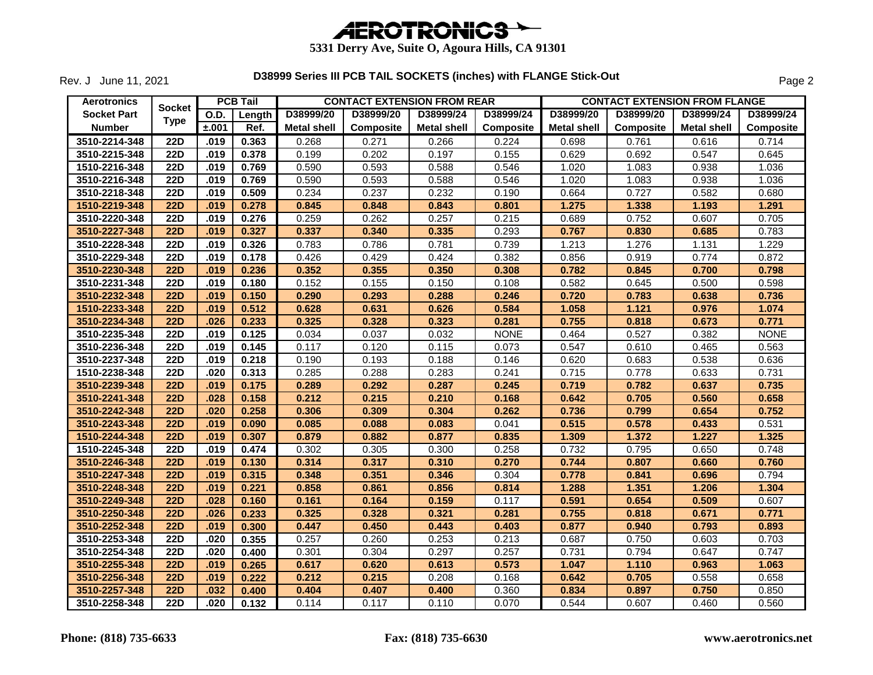

Rev. J June 11, 2021

| <b>Aerotronics</b> |                       |             | <b>PCB Tail</b> |                    | <b>CONTACT EXTENSION FROM REAR</b> |                    |                  | <b>CONTACT EXTENSION FROM FLANGE</b> |                  |                    |             |  |
|--------------------|-----------------------|-------------|-----------------|--------------------|------------------------------------|--------------------|------------------|--------------------------------------|------------------|--------------------|-------------|--|
| <b>Socket Part</b> | Socket<br><b>Type</b> | <b>O.D.</b> | Length          | D38999/20          | D38999/20                          | D38999/24          | D38999/24        | D38999/20                            | D38999/20        | D38999/24          | D38999/24   |  |
| <b>Number</b>      |                       | ±.001       | Ref.            | <b>Metal shell</b> | <b>Composite</b>                   | <b>Metal shell</b> | <b>Composite</b> | <b>Metal shell</b>                   | <b>Composite</b> | <b>Metal shell</b> | Composite   |  |
| 3510-2214-348      | <b>22D</b>            | .019        | 0.363           | 0.268              | 0.271                              | 0.266              | 0.224            | 0.698                                | 0.761            | 0.616              | 0.714       |  |
| 3510-2215-348      | <b>22D</b>            | .019        | 0.378           | 0.199              | 0.202                              | 0.197              | 0.155            | 0.629                                | 0.692            | 0.547              | 0.645       |  |
| 1510-2216-348      | <b>22D</b>            | .019        | 0.769           | 0.590              | 0.593                              | 0.588              | 0.546            | 1.020                                | 1.083            | 0.938              | 1.036       |  |
| 3510-2216-348      | <b>22D</b>            | .019        | 0.769           | 0.590              | 0.593                              | 0.588              | 0.546            | 1.020                                | 1.083            | 0.938              | 1.036       |  |
| 3510-2218-348      | <b>22D</b>            | .019        | 0.509           | 0.234              | 0.237                              | 0.232              | 0.190            | 0.664                                | 0.727            | 0.582              | 0.680       |  |
| 1510-2219-348      | <b>22D</b>            | .019        | 0.278           | 0.845              | 0.848                              | 0.843              | 0.801            | 1.275                                | 1.338            | 1.193              | 1.291       |  |
| 3510-2220-348      | <b>22D</b>            | .019        | 0.276           | 0.259              | 0.262                              | 0.257              | 0.215            | 0.689                                | 0.752            | 0.607              | 0.705       |  |
| 3510-2227-348      | <b>22D</b>            | .019        | 0.327           | 0.337              | 0.340                              | 0.335              | 0.293            | 0.767                                | 0.830            | 0.685              | 0.783       |  |
| 3510-2228-348      | <b>22D</b>            | .019        | 0.326           | 0.783              | 0.786                              | 0.781              | 0.739            | 1.213                                | 1.276            | 1.131              | 1.229       |  |
| 3510-2229-348      | <b>22D</b>            | .019        | 0.178           | 0.426              | 0.429                              | 0.424              | 0.382            | 0.856                                | 0.919            | 0.774              | 0.872       |  |
| 3510-2230-348      | <b>22D</b>            | .019        | 0.236           | 0.352              | 0.355                              | 0.350              | 0.308            | 0.782                                | 0.845            | 0.700              | 0.798       |  |
| 3510-2231-348      | <b>22D</b>            | .019        | 0.180           | 0.152              | 0.155                              | 0.150              | 0.108            | 0.582                                | 0.645            | 0.500              | 0.598       |  |
| 3510-2232-348      | <b>22D</b>            | .019        | 0.150           | 0.290              | 0.293                              | 0.288              | 0.246            | 0.720                                | 0.783            | 0.638              | 0.736       |  |
| 1510-2233-348      | <b>22D</b>            | .019        | 0.512           | 0.628              | 0.631                              | 0.626              | 0.584            | 1.058                                | 1.121            | 0.976              | 1.074       |  |
| 3510-2234-348      | <b>22D</b>            | .026        | 0.233           | 0.325              | 0.328                              | 0.323              | 0.281            | 0.755                                | 0.818            | 0.673              | 0.771       |  |
| 3510-2235-348      | <b>22D</b>            | .019        | 0.125           | 0.034              | 0.037                              | 0.032              | <b>NONE</b>      | 0.464                                | 0.527            | 0.382              | <b>NONE</b> |  |
| 3510-2236-348      | $\overline{22D}$      | .019        | 0.145           | 0.117              | 0.120                              | 0.115              | 0.073            | 0.547                                | 0.610            | 0.465              | 0.563       |  |
| 3510-2237-348      | $\overline{22D}$      | .019        | 0.218           | 0.190              | 0.193                              | 0.188              | 0.146            | 0.620                                | 0.683            | 0.538              | 0.636       |  |
| 1510-2238-348      | <b>22D</b>            | .020        | 0.313           | 0.285              | 0.288                              | 0.283              | 0.241            | 0.715                                | 0.778            | 0.633              | 0.731       |  |
| 3510-2239-348      | <b>22D</b>            | .019        | 0.175           | 0.289              | 0.292                              | 0.287              | 0.245            | 0.719                                | 0.782            | 0.637              | 0.735       |  |
| 3510-2241-348      | <b>22D</b>            | .028        | 0.158           | 0.212              | 0.215                              | 0.210              | 0.168            | 0.642                                | 0.705            | 0.560              | 0.658       |  |
| 3510-2242-348      | <b>22D</b>            | .020        | 0.258           | 0.306              | 0.309                              | 0.304              | 0.262            | 0.736                                | 0.799            | 0.654              | 0.752       |  |
| 3510-2243-348      | <b>22D</b>            | .019        | 0.090           | 0.085              | 0.088                              | 0.083              | 0.041            | 0.515                                | 0.578            | 0.433              | 0.531       |  |
| 1510-2244-348      | 22D                   | .019        | 0.307           | 0.879              | 0.882                              | 0.877              | 0.835            | 1.309                                | 1.372            | 1.227              | 1.325       |  |
| 1510-2245-348      | <b>22D</b>            | .019        | 0.474           | 0.302              | 0.305                              | 0.300              | 0.258            | 0.732                                | 0.795            | 0.650              | 0.748       |  |
| 3510-2246-348      | <b>22D</b>            | .019        | 0.130           | 0.314              | 0.317                              | 0.310              | 0.270            | 0.744                                | 0.807            | 0.660              | 0.760       |  |
| 3510-2247-348      | <b>22D</b>            | .019        | 0.315           | 0.348              | 0.351                              | 0.346              | 0.304            | 0.778                                | 0.841            | 0.696              | 0.794       |  |
| 3510-2248-348      | <b>22D</b>            | .019        | 0.221           | 0.858              | 0.861                              | 0.856              | 0.814            | 1.288                                | 1.351            | 1.206              | 1.304       |  |
| 3510-2249-348      | 22D                   | .028        | 0.160           | 0.161              | 0.164                              | 0.159              | 0.117            | 0.591                                | 0.654            | 0.509              | 0.607       |  |
| 3510-2250-348      | <b>22D</b>            | .026        | 0.233           | 0.325              | 0.328                              | 0.321              | 0.281            | 0.755                                | 0.818            | 0.671              | 0.771       |  |
| 3510-2252-348      | 22D                   | .019        | 0.300           | 0.447              | 0.450                              | 0.443              | 0.403            | 0.877                                | 0.940            | 0.793              | 0.893       |  |
| 3510-2253-348      | $\overline{22D}$      | .020        | 0.355           | 0.257              | 0.260                              | 0.253              | 0.213            | 0.687                                | 0.750            | 0.603              | 0.703       |  |
| 3510-2254-348      | <b>22D</b>            | .020        | 0.400           | 0.301              | 0.304                              | 0.297              | 0.257            | 0.731                                | 0.794            | 0.647              | 0.747       |  |
| 3510-2255-348      | <b>22D</b>            | .019        | 0.265           | 0.617              | 0.620                              | 0.613              | 0.573            | 1.047                                | 1.110            | 0.963              | 1.063       |  |
| 3510-2256-348      | <b>22D</b>            | .019        | 0.222           | 0.212              | 0.215                              | 0.208              | 0.168            | 0.642                                | 0.705            | 0.558              | 0.658       |  |
| 3510-2257-348      | 22D                   | .032        | 0.400           | 0.404              | 0.407                              | 0.400              | 0.360            | 0.834                                | 0.897            | 0.750              | 0.850       |  |
| 3510-2258-348      | 22D                   | .020        | 0.132           | 0.114              | 0.117                              | 0.110              | 0.070            | 0.544                                | 0.607            | 0.460              | 0.560       |  |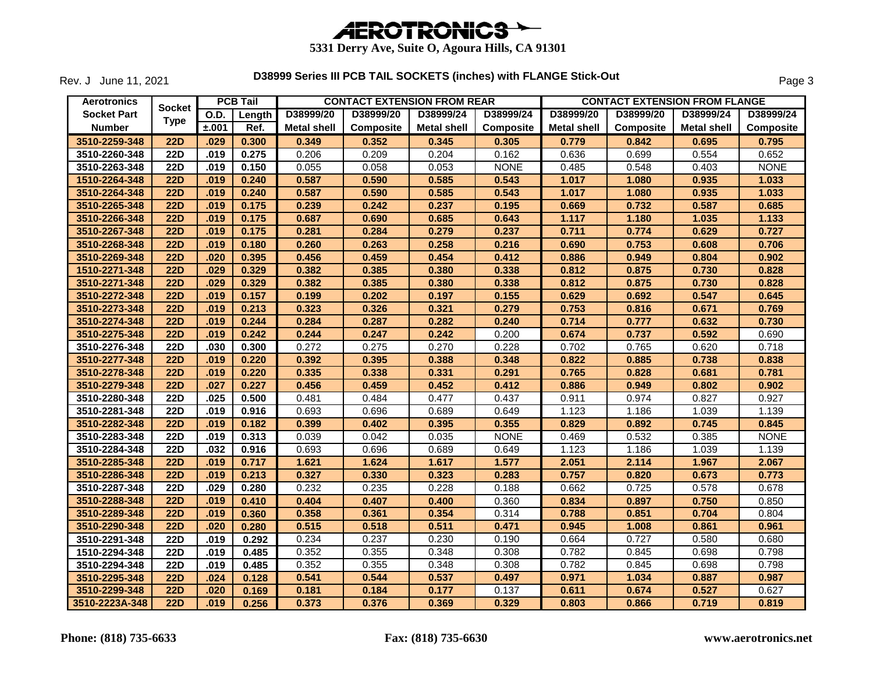

Rev. J June 11, 2021

| <b>Aerotronics</b> |             |             | <b>PCB Tail</b> |                    |                  | <b>CONTACT EXTENSION FROM REAR</b> |                  |                    | <b>CONTACT EXTENSION FROM FLANGE</b> |                    |             |
|--------------------|-------------|-------------|-----------------|--------------------|------------------|------------------------------------|------------------|--------------------|--------------------------------------|--------------------|-------------|
| <b>Socket Part</b> | Socket      | <b>O.D.</b> | Length          | D38999/20          | D38999/20        | D38999/24                          | D38999/24        | D38999/20          | D38999/20                            | D38999/24          | D38999/24   |
| <b>Number</b>      | <b>Type</b> | ±.001       | Ref.            | <b>Metal shell</b> | <b>Composite</b> | <b>Metal shell</b>                 | <b>Composite</b> | <b>Metal shell</b> | Composite                            | <b>Metal shell</b> | Composite   |
| 3510-2259-348      | <b>22D</b>  | .029        | 0.300           | 0.349              | 0.352            | 0.345                              | 0.305            | 0.779              | 0.842                                | 0.695              | 0.795       |
| 3510-2260-348      | <b>22D</b>  | .019        | 0.275           | 0.206              | 0.209            | 0.204                              | 0.162            | 0.636              | 0.699                                | 0.554              | 0.652       |
| 3510-2263-348      | <b>22D</b>  | .019        | 0.150           | 0.055              | 0.058            | 0.053                              | <b>NONE</b>      | 0.485              | 0.548                                | 0.403              | <b>NONE</b> |
| 1510-2264-348      | <b>22D</b>  | .019        | 0.240           | 0.587              | 0.590            | 0.585                              | 0.543            | 1.017              | 1.080                                | 0.935              | 1.033       |
| 3510-2264-348      | <b>22D</b>  | .019        | 0.240           | 0.587              | 0.590            | 0.585                              | 0.543            | 1.017              | 1.080                                | 0.935              | 1.033       |
| 3510-2265-348      | <b>22D</b>  | .019        | 0.175           | 0.239              | 0.242            | 0.237                              | 0.195            | 0.669              | 0.732                                | 0.587              | 0.685       |
| 3510-2266-348      | <b>22D</b>  | .019        | 0.175           | 0.687              | 0.690            | 0.685                              | 0.643            | 1.117              | 1.180                                | 1.035              | 1.133       |
| 3510-2267-348      | <b>22D</b>  | .019        | 0.175           | 0.281              | 0.284            | 0.279                              | 0.237            | 0.711              | 0.774                                | 0.629              | 0.727       |
| 3510-2268-348      | <b>22D</b>  | .019        | 0.180           | 0.260              | 0.263            | 0.258                              | 0.216            | 0.690              | 0.753                                | 0.608              | 0.706       |
| 3510-2269-348      | <b>22D</b>  | .020        | 0.395           | 0.456              | 0.459            | 0.454                              | 0.412            | 0.886              | 0.949                                | 0.804              | 0.902       |
| 1510-2271-348      | <b>22D</b>  | .029        | 0.329           | 0.382              | 0.385            | 0.380                              | 0.338            | 0.812              | 0.875                                | 0.730              | 0.828       |
| 3510-2271-348      | <b>22D</b>  | .029        | 0.329           | 0.382              | 0.385            | 0.380                              | 0.338            | 0.812              | 0.875                                | 0.730              | 0.828       |
| 3510-2272-348      | <b>22D</b>  | .019        | 0.157           | 0.199              | 0.202            | 0.197                              | 0.155            | 0.629              | 0.692                                | 0.547              | 0.645       |
| 3510-2273-348      | <b>22D</b>  | .019        | 0.213           | 0.323              | 0.326            | 0.321                              | 0.279            | 0.753              | 0.816                                | 0.671              | 0.769       |
| 3510-2274-348      | <b>22D</b>  | .019        | 0.244           | 0.284              | 0.287            | 0.282                              | 0.240            | 0.714              | 0.777                                | 0.632              | 0.730       |
| 3510-2275-348      | <b>22D</b>  | .019        | 0.242           | 0.244              | 0.247            | 0.242                              | 0.200            | 0.674              | 0.737                                | 0.592              | 0.690       |
| 3510-2276-348      | <b>22D</b>  | .030        | 0.300           | 0.272              | 0.275            | 0.270                              | 0.228            | 0.702              | 0.765                                | 0.620              | 0.718       |
| 3510-2277-348      | <b>22D</b>  | .019        | 0.220           | 0.392              | 0.395            | 0.388                              | 0.348            | 0.822              | 0.885                                | 0.738              | 0.838       |
| 3510-2278-348      | 22D         | .019        | 0.220           | 0.335              | 0.338            | 0.331                              | 0.291            | 0.765              | 0.828                                | 0.681              | 0.781       |
| 3510-2279-348      | <b>22D</b>  | .027        | 0.227           | 0.456              | 0.459            | 0.452                              | 0.412            | 0.886              | 0.949                                | 0.802              | 0.902       |
| 3510-2280-348      | <b>22D</b>  | .025        | 0.500           | 0.481              | 0.484            | 0.477                              | 0.437            | 0.911              | 0.974                                | 0.827              | 0.927       |
| 3510-2281-348      | <b>22D</b>  | .019        | 0.916           | 0.693              | 0.696            | 0.689                              | 0.649            | 1.123              | 1.186                                | 1.039              | 1.139       |
| 3510-2282-348      | <b>22D</b>  | .019        | 0.182           | 0.399              | 0.402            | 0.395                              | 0.355            | 0.829              | 0.892                                | 0.745              | 0.845       |
| 3510-2283-348      | <b>22D</b>  | .019        | 0.313           | 0.039              | 0.042            | 0.035                              | <b>NONE</b>      | 0.469              | 0.532                                | 0.385              | <b>NONE</b> |
| 3510-2284-348      | <b>22D</b>  | .032        | 0.916           | 0.693              | 0.696            | 0.689                              | 0.649            | 1.123              | 1.186                                | 1.039              | 1.139       |
| 3510-2285-348      | <b>22D</b>  | .019        | 0.717           | 1.621              | 1.624            | 1.617                              | 1.577            | 2.051              | 2.114                                | 1.967              | 2.067       |
| 3510-2286-348      | <b>22D</b>  | .019        | 0.213           | 0.327              | 0.330            | 0.323                              | 0.283            | 0.757              | 0.820                                | 0.673              | 0.773       |
| 3510-2287-348      | <b>22D</b>  | .029        | 0.280           | 0.232              | 0.235            | 0.228                              | 0.188            | 0.662              | 0.725                                | 0.578              | 0.678       |
| 3510-2288-348      | <b>22D</b>  | .019        | 0.410           | 0.404              | 0.407            | 0.400                              | 0.360            | 0.834              | 0.897                                | 0.750              | 0.850       |
| 3510-2289-348      | <b>22D</b>  | .019        | 0.360           | 0.358              | 0.361            | 0.354                              | 0.314            | 0.788              | 0.851                                | 0.704              | 0.804       |
| 3510-2290-348      | 22D         | .020        | 0.280           | 0.515              | 0.518            | 0.511                              | 0.471            | 0.945              | 1.008                                | 0.861              | 0.961       |
| 3510-2291-348      | <b>22D</b>  | .019        | 0.292           | 0.234              | 0.237            | 0.230                              | 0.190            | 0.664              | 0.727                                | 0.580              | 0.680       |
| 1510-2294-348      | <b>22D</b>  | .019        | 0.485           | 0.352              | 0.355            | 0.348                              | 0.308            | 0.782              | 0.845                                | 0.698              | 0.798       |
| 3510-2294-348      | <b>22D</b>  | .019        | 0.485           | 0.352              | 0.355            | 0.348                              | 0.308            | 0.782              | 0.845                                | 0.698              | 0.798       |
| 3510-2295-348      | <b>22D</b>  | .024        | 0.128           | 0.541              | 0.544            | 0.537                              | 0.497            | 0.971              | 1.034                                | 0.887              | 0.987       |
| 3510-2299-348      | <b>22D</b>  | .020        | 0.169           | 0.181              | 0.184            | 0.177                              | 0.137            | 0.611              | 0.674                                | 0.527              | 0.627       |
| 3510-2223A-348     | 22D         | .019        | 0.256           | 0.373              | 0.376            | 0.369                              | 0.329            | 0.803              | 0.866                                | 0.719              | 0.819       |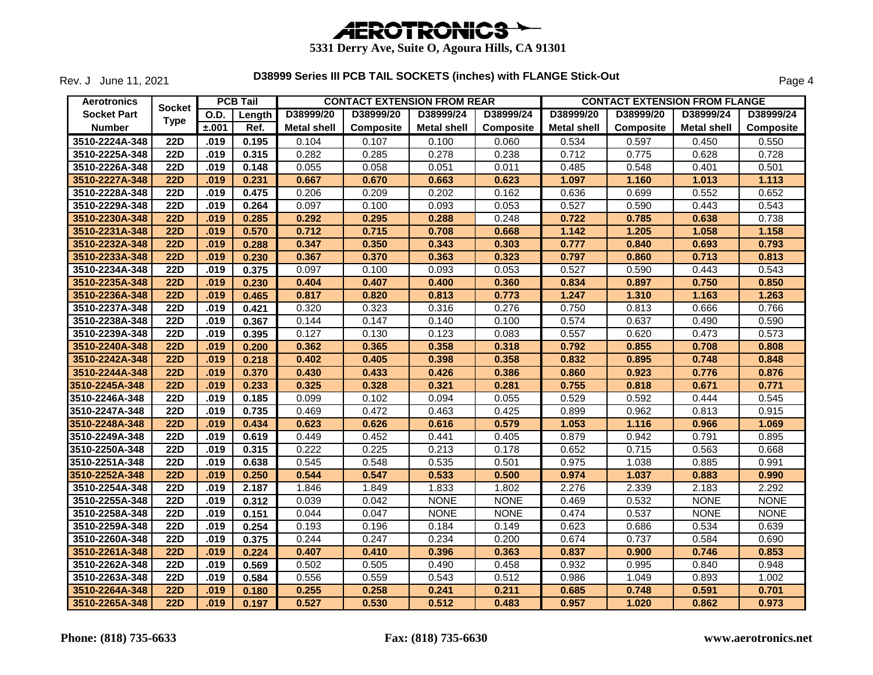

Rev. J June 11, 2021

| <b>Aerotronics</b> |                  |       | <b>PCB Tail</b> |                    | <b>CONTACT EXTENSION FROM REAR</b> |                    |                  |                    | <b>CONTACT EXTENSION FROM FLANGE</b> |                    |                  |
|--------------------|------------------|-------|-----------------|--------------------|------------------------------------|--------------------|------------------|--------------------|--------------------------------------|--------------------|------------------|
| <b>Socket Part</b> | <b>Socket</b>    | O.D.  | Length          | D38999/20          | D38999/20                          | D38999/24          | D38999/24        | D38999/20          | D38999/20                            | D38999/24          | D38999/24        |
| <b>Number</b>      | <b>Type</b>      | ±.001 | Ref.            | <b>Metal shell</b> | <b>Composite</b>                   | <b>Metal shell</b> | <b>Composite</b> | <b>Metal shell</b> | <b>Composite</b>                     | <b>Metal shell</b> | <b>Composite</b> |
| 3510-2224A-348     | <b>22D</b>       | .019  | 0.195           | 0.104              | 0.107                              | 0.100              | 0.060            | 0.534              | 0.597                                | 0.450              | 0.550            |
| 3510-2225A-348     | <b>22D</b>       | .019  | 0.315           | 0.282              | 0.285                              | 0.278              | 0.238            | 0.712              | 0.775                                | 0.628              | 0.728            |
| 3510-2226A-348     | <b>22D</b>       | .019  | 0.148           | 0.055              | 0.058                              | 0.051              | 0.011            | 0.485              | 0.548                                | 0.401              | 0.501            |
| 3510-2227A-348     | <b>22D</b>       | .019  | 0.231           | 0.667              | 0.670                              | 0.663              | 0.623            | 1.097              | 1.160                                | 1.013              | 1.113            |
| 3510-2228A-348     | $\overline{22D}$ | .019  | 0.475           | 0.206              | 0.209                              | 0.202              | 0.162            | 0.636              | 0.699                                | 0.552              | 0.652            |
| 3510-2229A-348     | <b>22D</b>       | .019  | 0.264           | 0.097              | 0.100                              | 0.093              | 0.053            | 0.527              | 0.590                                | 0.443              | 0.543            |
| 3510-2230A-348     | <b>22D</b>       | .019  | 0.285           | 0.292              | 0.295                              | 0.288              | 0.248            | 0.722              | 0.785                                | 0.638              | 0.738            |
| 3510-2231A-348     | 22D              | .019  | 0.570           | 0.712              | 0.715                              | 0.708              | 0.668            | 1.142              | 1.205                                | 1.058              | 1.158            |
| 3510-2232A-348     | <b>22D</b>       | .019  | 0.288           | 0.347              | 0.350                              | 0.343              | 0.303            | 0.777              | 0.840                                | 0.693              | 0.793            |
| 3510-2233A-348     | <b>22D</b>       | .019  | 0.230           | 0.367              | 0.370                              | 0.363              | 0.323            | 0.797              | 0.860                                | 0.713              | 0.813            |
| 3510-2234A-348     | <b>22D</b>       | .019  | 0.375           | 0.097              | 0.100                              | 0.093              | 0.053            | 0.527              | 0.590                                | 0.443              | 0.543            |
| 3510-2235A-348     | 22D              | .019  | 0.230           | 0.404              | 0.407                              | 0.400              | 0.360            | 0.834              | 0.897                                | 0.750              | 0.850            |
| 3510-2236A-348     | <b>22D</b>       | .019  | 0.465           | 0.817              | 0.820                              | 0.813              | 0.773            | 1.247              | 1.310                                | 1.163              | 1.263            |
| 3510-2237A-348     | <b>22D</b>       | .019  | 0.421           | 0.320              | 0.323                              | 0.316              | 0.276            | 0.750              | 0.813                                | 0.666              | 0.766            |
| 3510-2238A-348     | 22D              | .019  | 0.367           | 0.144              | 0.147                              | 0.140              | 0.100            | 0.574              | 0.637                                | 0.490              | 0.590            |
| 3510-2239A-348     | 22D              | .019  | 0.395           | 0.127              | 0.130                              | 0.123              | 0.083            | 0.557              | 0.620                                | 0.473              | 0.573            |
| 3510-2240A-348     | <b>22D</b>       | .019  | 0.200           | 0.362              | 0.365                              | 0.358              | 0.318            | 0.792              | 0.855                                | 0.708              | 0.808            |
| 3510-2242A-348     | <b>22D</b>       | .019  | 0.218           | 0.402              | 0.405                              | 0.398              | 0.358            | 0.832              | 0.895                                | 0.748              | 0.848            |
| 3510-2244A-348     | <b>22D</b>       | .019  | 0.370           | 0.430              | 0.433                              | 0.426              | 0.386            | 0.860              | 0.923                                | 0.776              | 0.876            |
| 3510-2245A-348     | <b>22D</b>       | .019  | 0.233           | 0.325              | 0.328                              | 0.321              | 0.281            | 0.755              | 0.818                                | 0.671              | 0.771            |
| 3510-2246A-348     | <b>22D</b>       | .019  | 0.185           | 0.099              | 0.102                              | 0.094              | 0.055            | 0.529              | 0.592                                | 0.444              | 0.545            |
| 3510-2247A-348     | 22D              | .019  | 0.735           | 0.469              | 0.472                              | 0.463              | 0.425            | 0.899              | 0.962                                | 0.813              | 0.915            |
| 3510-2248A-348     | <b>22D</b>       | .019  | 0.434           | 0.623              | 0.626                              | 0.616              | 0.579            | 1.053              | 1.116                                | 0.966              | 1.069            |
| 3510-2249A-348     | <b>22D</b>       | .019  | 0.619           | 0.449              | 0.452                              | 0.441              | 0.405            | 0.879              | 0.942                                | 0.791              | 0.895            |
| 3510-2250A-348     | <b>22D</b>       | .019  | 0.315           | 0.222              | 0.225                              | 0.213              | 0.178            | 0.652              | 0.715                                | 0.563              | 0.668            |
| 3510-2251A-348     | <b>22D</b>       | .019  | 0.638           | 0.545              | 0.548                              | 0.535              | 0.501            | 0.975              | 1.038                                | 0.885              | 0.991            |
| 3510-2252A-348     | <b>22D</b>       | .019  | 0.250           | 0.544              | 0.547                              | 0.533              | 0.500            | 0.974              | 1.037                                | 0.883              | 0.990            |
| 3510-2254A-348     | $\overline{22D}$ | .019  | 2.187           | 1.846              | 1.849                              | 1.833              | 1.802            | 2.276              | 2.339                                | 2.183              | 2.292            |
| 3510-2255A-348     | <b>22D</b>       | .019  | 0.312           | 0.039              | 0.042                              | <b>NONE</b>        | <b>NONE</b>      | 0.469              | 0.532                                | <b>NONE</b>        | <b>NONE</b>      |
| 3510-2258A-348     | <b>22D</b>       | .019  | 0.151           | 0.044              | 0.047                              | <b>NONE</b>        | <b>NONE</b>      | 0.474              | 0.537                                | <b>NONE</b>        | <b>NONE</b>      |
| 3510-2259A-348     | $\overline{22D}$ | .019  | 0.254           | 0.193              | 0.196                              | 0.184              | 0.149            | 0.623              | 0.686                                | 0.534              | 0.639            |
| 3510-2260A-348     | <b>22D</b>       | .019  | 0.375           | 0.244              | 0.247                              | 0.234              | 0.200            | 0.674              | 0.737                                | 0.584              | 0.690            |
| 3510-2261A-348     | <b>22D</b>       | .019  | 0.224           | 0.407              | 0.410                              | 0.396              | 0.363            | 0.837              | 0.900                                | 0.746              | 0.853            |
| 3510-2262A-348     | <b>22D</b>       | .019  | 0.569           | 0.502              | 0.505                              | 0.490              | 0.458            | 0.932              | 0.995                                | 0.840              | 0.948            |
| 3510-2263A-348     | <b>22D</b>       | .019  | 0.584           | 0.556              | 0.559                              | 0.543              | 0.512            | 0.986              | 1.049                                | 0.893              | 1.002            |
| 3510-2264A-348     | <b>22D</b>       | .019  | 0.180           | 0.255              | 0.258                              | 0.241              | 0.211            | 0.685              | 0.748                                | 0.591              | 0.701            |
| 3510-2265A-348     | 22D              | .019  | 0.197           | 0.527              | 0.530                              | 0.512              | 0.483            | 0.957              | 1.020                                | 0.862              | 0.973            |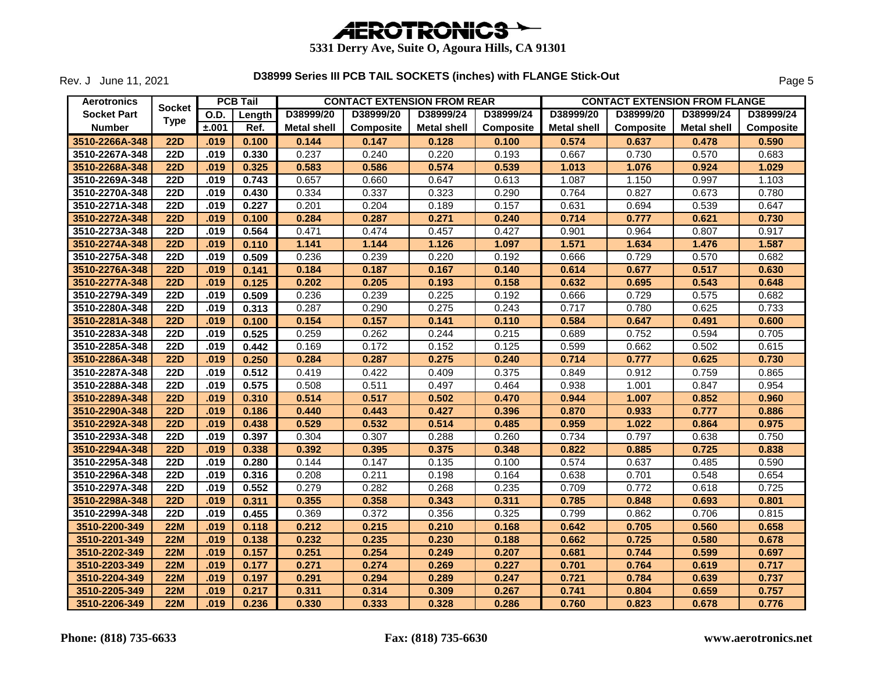

Rev. J June 11, 2021

| <b>Aerotronics</b> |                  |       | <b>PCB Tail</b> |                    | <b>CONTACT EXTENSION FROM REAR</b> |                    |                  | <b>CONTACT EXTENSION FROM FLANGE</b> |                  |                    |           |  |
|--------------------|------------------|-------|-----------------|--------------------|------------------------------------|--------------------|------------------|--------------------------------------|------------------|--------------------|-----------|--|
| <b>Socket Part</b> | <b>Socket</b>    | O.D.  | Length          | D38999/20          | D38999/20                          | D38999/24          | D38999/24        | D38999/20                            | D38999/20        | D38999/24          | D38999/24 |  |
| <b>Number</b>      | <b>Type</b>      | ±.001 | Ref.            | <b>Metal shell</b> | <b>Composite</b>                   | <b>Metal shell</b> | <b>Composite</b> | <b>Metal shell</b>                   | <b>Composite</b> | <b>Metal shell</b> | Composite |  |
| 3510-2266A-348     | <b>22D</b>       | .019  | 0.100           | 0.144              | 0.147                              | 0.128              | 0.100            | 0.574                                | 0.637            | 0.478              | 0.590     |  |
| 3510-2267A-348     | $\overline{22D}$ | .019  | 0.330           | 0.237              | 0.240                              | 0.220              | 0.193            | 0.667                                | 0.730            | 0.570              | 0.683     |  |
| 3510-2268A-348     | 22D              | .019  | 0.325           | 0.583              | 0.586                              | 0.574              | 0.539            | 1.013                                | 1.076            | 0.924              | 1.029     |  |
| 3510-2269A-348     | <b>22D</b>       | .019  | 0.743           | 0.657              | 0.660                              | 0.647              | 0.613            | 1.087                                | 1.150            | 0.997              | 1.103     |  |
| 3510-2270A-348     | $\overline{22D}$ | .019  | 0.430           | 0.334              | 0.337                              | 0.323              | 0.290            | 0.764                                | 0.827            | 0.673              | 0.780     |  |
| 3510-2271A-348     | <b>22D</b>       | .019  | 0.227           | 0.201              | 0.204                              | 0.189              | 0.157            | 0.631                                | 0.694            | 0.539              | 0.647     |  |
| 3510-2272A-348     | <b>22D</b>       | .019  | 0.100           | 0.284              | 0.287                              | 0.271              | 0.240            | 0.714                                | 0.777            | 0.621              | 0.730     |  |
| 3510-2273A-348     | <b>22D</b>       | .019  | 0.564           | 0.471              | 0.474                              | 0.457              | 0.427            | 0.901                                | 0.964            | 0.807              | 0.917     |  |
| 3510-2274A-348     | <b>22D</b>       | .019  | 0.110           | 1.141              | 1.144                              | 1.126              | 1.097            | 1.571                                | 1.634            | 1.476              | 1.587     |  |
| 3510-2275A-348     | $\overline{22D}$ | .019  | 0.509           | 0.236              | 0.239                              | 0.220              | 0.192            | 0.666                                | 0.729            | 0.570              | 0.682     |  |
| 3510-2276A-348     | <b>22D</b>       | .019  | 0.141           | 0.184              | 0.187                              | 0.167              | 0.140            | 0.614                                | 0.677            | 0.517              | 0.630     |  |
| 3510-2277A-348     | 22D              | .019  | 0.125           | 0.202              | 0.205                              | 0.193              | 0.158            | 0.632                                | 0.695            | 0.543              | 0.648     |  |
| 3510-2279A-349     | <b>22D</b>       | .019  | 0.509           | 0.236              | 0.239                              | 0.225              | 0.192            | 0.666                                | 0.729            | 0.575              | 0.682     |  |
| 3510-2280A-348     | 22D              | .019  | 0.313           | 0.287              | 0.290                              | 0.275              | 0.243            | 0.717                                | 0.780            | 0.625              | 0.733     |  |
| 3510-2281A-348     | <b>22D</b>       | .019  | 0.100           | 0.154              | 0.157                              | 0.141              | 0.110            | 0.584                                | 0.647            | 0.491              | 0.600     |  |
| 3510-2283A-348     | 22D              | .019  | 0.525           | 0.259              | 0.262                              | 0.244              | 0.215            | 0.689                                | 0.752            | 0.594              | 0.705     |  |
| 3510-2285A-348     | <b>22D</b>       | .019  | 0.442           | 0.169              | 0.172                              | 0.152              | 0.125            | 0.599                                | 0.662            | 0.502              | 0.615     |  |
| 3510-2286A-348     | <b>22D</b>       | .019  | 0.250           | 0.284              | 0.287                              | 0.275              | 0.240            | 0.714                                | 0.777            | 0.625              | 0.730     |  |
| 3510-2287A-348     | $\overline{22D}$ | .019  | 0.512           | 0.419              | 0.422                              | 0.409              | 0.375            | 0.849                                | 0.912            | 0.759              | 0.865     |  |
| 3510-2288A-348     | $\overline{22D}$ | .019  | 0.575           | 0.508              | 0.511                              | 0.497              | 0.464            | 0.938                                | 1.001            | 0.847              | 0.954     |  |
| 3510-2289A-348     | <b>22D</b>       | .019  | 0.310           | 0.514              | 0.517                              | 0.502              | 0.470            | 0.944                                | 1.007            | 0.852              | 0.960     |  |
| 3510-2290A-348     | <b>22D</b>       | .019  | 0.186           | 0.440              | 0.443                              | 0.427              | 0.396            | 0.870                                | 0.933            | 0.777              | 0.886     |  |
| 3510-2292A-348     | <b>22D</b>       | .019  | 0.438           | 0.529              | 0.532                              | 0.514              | 0.485            | 0.959                                | 1.022            | 0.864              | 0.975     |  |
| 3510-2293A-348     | <b>22D</b>       | .019  | 0.397           | 0.304              | 0.307                              | 0.288              | 0.260            | 0.734                                | 0.797            | 0.638              | 0.750     |  |
| 3510-2294A-348     | <b>22D</b>       | .019  | 0.338           | 0.392              | 0.395                              | 0.375              | 0.348            | 0.822                                | 0.885            | 0.725              | 0.838     |  |
| 3510-2295A-348     | $\overline{22D}$ | .019  | 0.280           | 0.144              | 0.147                              | 0.135              | 0.100            | 0.574                                | 0.637            | 0.485              | 0.590     |  |
| 3510-2296A-348     | <b>22D</b>       | .019  | 0.316           | 0.208              | 0.211                              | 0.198              | 0.164            | 0.638                                | 0.701            | 0.548              | 0.654     |  |
| 3510-2297A-348     | <b>22D</b>       | .019  | 0.552           | 0.279              | 0.282                              | 0.268              | 0.235            | 0.709                                | 0.772            | 0.618              | 0.725     |  |
| 3510-2298A-348     | <b>22D</b>       | .019  | 0.311           | 0.355              | 0.358                              | 0.343              | 0.311            | 0.785                                | 0.848            | 0.693              | 0.801     |  |
| 3510-2299A-348     | $\overline{22D}$ | .019  | 0.455           | 0.369              | 0.372                              | 0.356              | 0.325            | 0.799                                | 0.862            | 0.706              | 0.815     |  |
| 3510-2200-349      | <b>22M</b>       | .019  | 0.118           | 0.212              | 0.215                              | 0.210              | 0.168            | 0.642                                | 0.705            | 0.560              | 0.658     |  |
| 3510-2201-349      | <b>22M</b>       | .019  | 0.138           | 0.232              | 0.235                              | 0.230              | 0.188            | 0.662                                | 0.725            | 0.580              | 0.678     |  |
| 3510-2202-349      | 22M              | .019  | 0.157           | 0.251              | 0.254                              | 0.249              | 0.207            | 0.681                                | 0.744            | 0.599              | 0.697     |  |
| 3510-2203-349      | <b>22M</b>       | .019  | 0.177           | 0.271              | 0.274                              | 0.269              | 0.227            | 0.701                                | 0.764            | 0.619              | 0.717     |  |
| 3510-2204-349      | <b>22M</b>       | .019  | 0.197           | 0.291              | 0.294                              | 0.289              | 0.247            | 0.721                                | 0.784            | 0.639              | 0.737     |  |
| 3510-2205-349      | <b>22M</b>       | .019  | 0.217           | 0.311              | 0.314                              | 0.309              | 0.267            | 0.741                                | 0.804            | 0.659              | 0.757     |  |
| 3510-2206-349      | 22M              | .019  | 0.236           | 0.330              | 0.333                              | 0.328              | 0.286            | 0.760                                | 0.823            | 0.678              | 0.776     |  |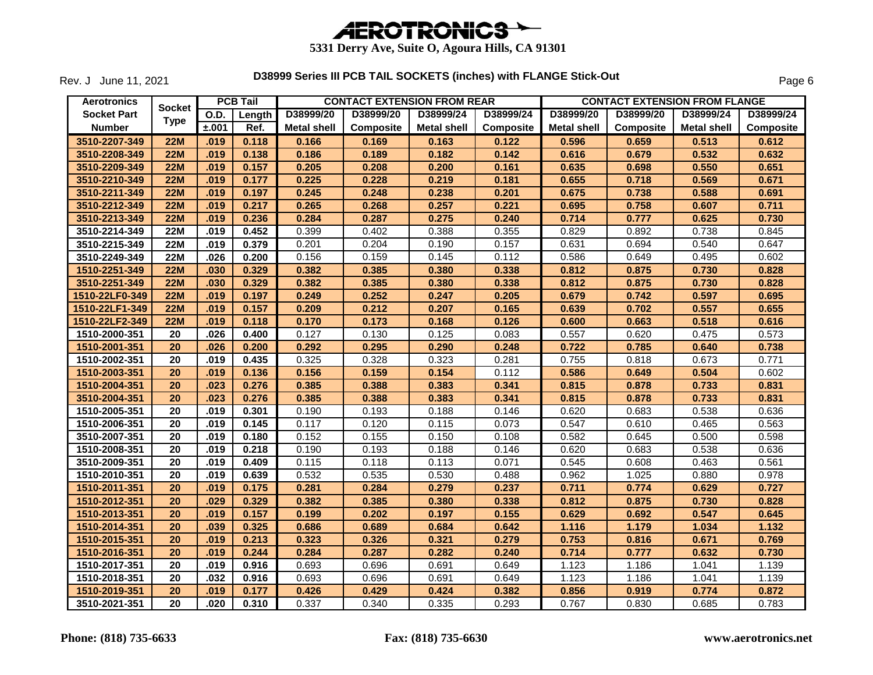

Rev. J June 11, 2021

| <b>Aerotronics</b> |                 |             | <b>PCB Tail</b> |                    |           | <b>CONTACT EXTENSION FROM REAR</b> |           | <b>CONTACT EXTENSION FROM FLANGE</b> |           |                    |                  |
|--------------------|-----------------|-------------|-----------------|--------------------|-----------|------------------------------------|-----------|--------------------------------------|-----------|--------------------|------------------|
| <b>Socket Part</b> | <b>Socket</b>   | <b>O.D.</b> | Length          | D38999/20          | D38999/20 | D38999/24                          | D38999/24 | D38999/20                            | D38999/20 | D38999/24          | D38999/24        |
| <b>Number</b>      | <b>Type</b>     | ±.001       | Ref.            | <b>Metal shell</b> | Composite | <b>Metal shell</b>                 | Composite | <b>Metal shell</b>                   | Composite | <b>Metal shell</b> | <b>Composite</b> |
| 3510-2207-349      | 22M             | .019        | 0.118           | 0.166              | 0.169     | 0.163                              | 0.122     | 0.596                                | 0.659     | 0.513              | 0.612            |
| 3510-2208-349      | 22M             | .019        | 0.138           | 0.186              | 0.189     | 0.182                              | 0.142     | 0.616                                | 0.679     | 0.532              | 0.632            |
| 3510-2209-349      | 22M             | .019        | 0.157           | 0.205              | 0.208     | 0.200                              | 0.161     | 0.635                                | 0.698     | 0.550              | 0.651            |
| 3510-2210-349      | 22M             | .019        | 0.177           | 0.225              | 0.228     | 0.219                              | 0.181     | 0.655                                | 0.718     | 0.569              | 0.671            |
| 3510-2211-349      | 22M             | .019        | 0.197           | 0.245              | 0.248     | 0.238                              | 0.201     | 0.675                                | 0.738     | 0.588              | 0.691            |
| 3510-2212-349      | <b>22M</b>      | .019        | 0.217           | 0.265              | 0.268     | 0.257                              | 0.221     | 0.695                                | 0.758     | 0.607              | 0.711            |
| 3510-2213-349      | <b>22M</b>      | .019        | 0.236           | 0.284              | 0.287     | 0.275                              | 0.240     | 0.714                                | 0.777     | 0.625              | 0.730            |
| 3510-2214-349      | <b>22M</b>      | .019        | 0.452           | 0.399              | 0.402     | 0.388                              | 0.355     | 0.829                                | 0.892     | 0.738              | 0.845            |
| 3510-2215-349      | <b>22M</b>      | .019        | 0.379           | 0.201              | 0.204     | 0.190                              | 0.157     | 0.631                                | 0.694     | 0.540              | 0.647            |
| 3510-2249-349      | <b>22M</b>      | .026        | 0.200           | 0.156              | 0.159     | 0.145                              | 0.112     | 0.586                                | 0.649     | 0.495              | 0.602            |
| 1510-2251-349      | 22M             | .030        | 0.329           | 0.382              | 0.385     | 0.380                              | 0.338     | 0.812                                | 0.875     | 0.730              | 0.828            |
| 3510-2251-349      | <b>22M</b>      | .030        | 0.329           | 0.382              | 0.385     | 0.380                              | 0.338     | 0.812                                | 0.875     | 0.730              | 0.828            |
| 1510-22LF0-349     | <b>22M</b>      | .019        | 0.197           | 0.249              | 0.252     | 0.247                              | 0.205     | 0.679                                | 0.742     | 0.597              | 0.695            |
| 1510-22LF1-349     | <b>22M</b>      | .019        | 0.157           | 0.209              | 0.212     | 0.207                              | 0.165     | 0.639                                | 0.702     | 0.557              | 0.655            |
| 1510-22LF2-349     | <b>22M</b>      | .019        | 0.118           | 0.170              | 0.173     | 0.168                              | 0.126     | 0.600                                | 0.663     | 0.518              | 0.616            |
| 1510-2000-351      | 20              | .026        | 0.400           | 0.127              | 0.130     | 0.125                              | 0.083     | 0.557                                | 0.620     | 0.475              | 0.573            |
| 1510-2001-351      | $\overline{20}$ | .026        | 0.200           | 0.292              | 0.295     | 0.290                              | 0.248     | 0.722                                | 0.785     | 0.640              | 0.738            |
| 1510-2002-351      | 20              | .019        | 0.435           | 0.325              | 0.328     | 0.323                              | 0.281     | 0.755                                | 0.818     | 0.673              | 0.771            |
| 1510-2003-351      | 20              | .019        | 0.136           | 0.156              | 0.159     | 0.154                              | 0.112     | 0.586                                | 0.649     | 0.504              | 0.602            |
| 1510-2004-351      | 20              | .023        | 0.276           | 0.385              | 0.388     | 0.383                              | 0.341     | 0.815                                | 0.878     | 0.733              | 0.831            |
| 3510-2004-351      | 20              | .023        | 0.276           | 0.385              | 0.388     | 0.383                              | 0.341     | 0.815                                | 0.878     | 0.733              | 0.831            |
| 1510-2005-351      | $\overline{20}$ | .019        | 0.301           | 0.190              | 0.193     | 0.188                              | 0.146     | 0.620                                | 0.683     | 0.538              | 0.636            |
| 1510-2006-351      | $\overline{20}$ | .019        | 0.145           | 0.117              | 0.120     | 0.115                              | 0.073     | 0.547                                | 0.610     | 0.465              | 0.563            |
| 3510-2007-351      | 20              | .019        | 0.180           | 0.152              | 0.155     | 0.150                              | 0.108     | 0.582                                | 0.645     | 0.500              | 0.598            |
| 1510-2008-351      | 20              | .019        | 0.218           | 0.190              | 0.193     | 0.188                              | 0.146     | 0.620                                | 0.683     | 0.538              | 0.636            |
| 3510-2009-351      | 20              | .019        | 0.409           | 0.115              | 0.118     | 0.113                              | 0.071     | 0.545                                | 0.608     | 0.463              | 0.561            |
| 1510-2010-351      | 20              | .019        | 0.639           | 0.532              | 0.535     | 0.530                              | 0.488     | 0.962                                | 1.025     | 0.880              | 0.978            |
| 1510-2011-351      | 20              | .019        | 0.175           | 0.281              | 0.284     | 0.279                              | 0.237     | 0.711                                | 0.774     | 0.629              | 0.727            |
| 1510-2012-351      | 20              | .029        | 0.329           | 0.382              | 0.385     | 0.380                              | 0.338     | 0.812                                | 0.875     | 0.730              | 0.828            |
| 1510-2013-351      | 20              | .019        | 0.157           | 0.199              | 0.202     | 0.197                              | 0.155     | 0.629                                | 0.692     | 0.547              | 0.645            |
| 1510-2014-351      | 20              | .039        | 0.325           | 0.686              | 0.689     | 0.684                              | 0.642     | 1.116                                | 1.179     | 1.034              | 1.132            |
| 1510-2015-351      | 20              | .019        | 0.213           | 0.323              | 0.326     | 0.321                              | 0.279     | 0.753                                | 0.816     | 0.671              | 0.769            |
| 1510-2016-351      | 20              | .019        | 0.244           | 0.284              | 0.287     | 0.282                              | 0.240     | 0.714                                | 0.777     | 0.632              | 0.730            |
| 1510-2017-351      | 20              | .019        | 0.916           | 0.693              | 0.696     | 0.691                              | 0.649     | 1.123                                | 1.186     | 1.041              | 1.139            |
| 1510-2018-351      | 20              | .032        | 0.916           | 0.693              | 0.696     | 0.691                              | 0.649     | 1.123                                | 1.186     | 1.041              | 1.139            |
| 1510-2019-351      | 20              | .019        | 0.177           | 0.426              | 0.429     | 0.424                              | 0.382     | 0.856                                | 0.919     | 0.774              | 0.872            |
| 3510-2021-351      | 20              | .020        | 0.310           | 0.337              | 0.340     | 0.335                              | 0.293     | 0.767                                | 0.830     | 0.685              | 0.783            |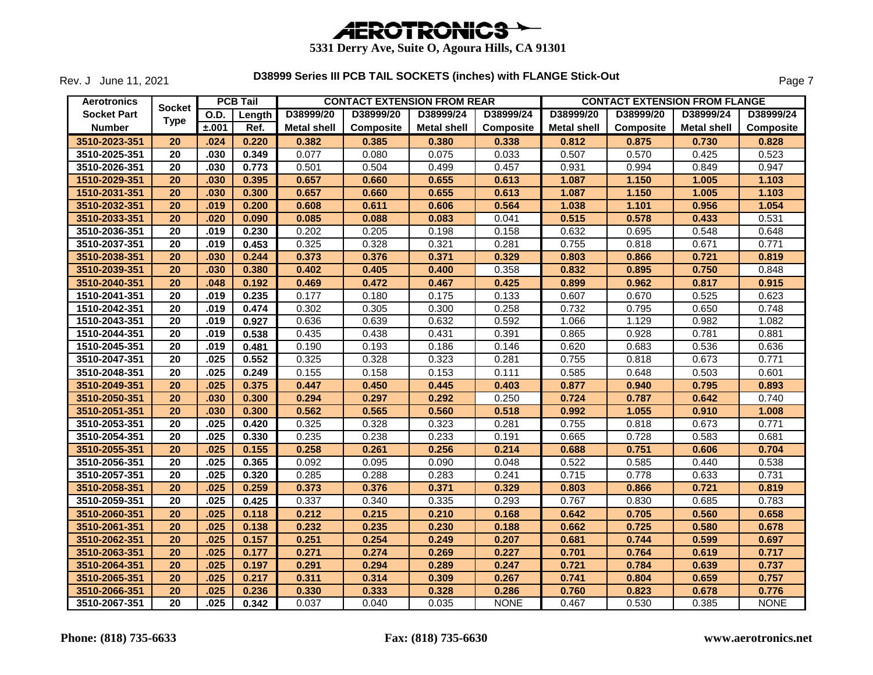

Rev. J June 11, 2021

| <b>Aerotronics</b> |                 |       | <b>PCB Tail</b> |                    |           | <b>CONTACT EXTENSION FROM REAR</b> |                  | <b>CONTACT EXTENSION FROM FLANGE</b> |                  |                    |                  |
|--------------------|-----------------|-------|-----------------|--------------------|-----------|------------------------------------|------------------|--------------------------------------|------------------|--------------------|------------------|
| <b>Socket Part</b> | <b>Socket</b>   | O.D.  | Length          | D38999/20          | D38999/20 | D38999/24                          | D38999/24        | D38999/20                            | D38999/20        | D38999/24          | D38999/24        |
| <b>Number</b>      | <b>Type</b>     | ±.001 | Ref.            | <b>Metal shell</b> | Composite | <b>Metal shell</b>                 | <b>Composite</b> | <b>Metal shell</b>                   | <b>Composite</b> | <b>Metal shell</b> | <b>Composite</b> |
| 3510-2023-351      | 20              | .024  | 0.220           | 0.382              | 0.385     | 0.380                              | 0.338            | 0.812                                | 0.875            | 0.730              | 0.828            |
| 3510-2025-351      | 20              | .030  | 0.349           | 0.077              | 0.080     | 0.075                              | 0.033            | 0.507                                | 0.570            | 0.425              | 0.523            |
| 3510-2026-351      | 20              | .030  | 0.773           | 0.501              | 0.504     | 0.499                              | 0.457            | 0.931                                | 0.994            | 0.849              | 0.947            |
| 1510-2029-351      | 20              | .030  | 0.395           | 0.657              | 0.660     | 0.655                              | 0.613            | 1.087                                | 1.150            | 1.005              | 1.103            |
| 1510-2031-351      | 20              | .030  | 0.300           | 0.657              | 0.660     | 0.655                              | 0.613            | 1.087                                | 1.150            | 1.005              | 1.103            |
| 3510-2032-351      | 20              | .019  | 0.200           | 0.608              | 0.611     | 0.606                              | 0.564            | 1.038                                | 1.101            | 0.956              | 1.054            |
| 3510-2033-351      | 20              | .020  | 0.090           | 0.085              | 0.088     | 0.083                              | 0.041            | 0.515                                | 0.578            | 0.433              | 0.531            |
| 3510-2036-351      | 20              | .019  | 0.230           | 0.202              | 0.205     | 0.198                              | 0.158            | 0.632                                | 0.695            | 0.548              | 0.648            |
| 3510-2037-351      | 20              | .019  | 0.453           | 0.325              | 0.328     | 0.321                              | 0.281            | 0.755                                | 0.818            | 0.671              | 0.771            |
| 3510-2038-351      | 20              | .030  | 0.244           | 0.373              | 0.376     | 0.371                              | 0.329            | 0.803                                | 0.866            | 0.721              | 0.819            |
| 3510-2039-351      | 20              | .030  | 0.380           | 0.402              | 0.405     | 0.400                              | 0.358            | 0.832                                | 0.895            | 0.750              | 0.848            |
| 3510-2040-351      | 20              | .048  | 0.192           | 0.469              | 0.472     | 0.467                              | 0.425            | 0.899                                | 0.962            | 0.817              | 0.915            |
| 1510-2041-351      | 20              | .019  | 0.235           | 0.177              | 0.180     | 0.175                              | 0.133            | 0.607                                | 0.670            | 0.525              | 0.623            |
| 1510-2042-351      | 20              | .019  | 0.474           | 0.302              | 0.305     | 0.300                              | 0.258            | 0.732                                | 0.795            | 0.650              | 0.748            |
| 1510-2043-351      | 20              | .019  | 0.927           | 0.636              | 0.639     | 0.632                              | 0.592            | 1.066                                | 1.129            | 0.982              | 1.082            |
| 1510-2044-351      | 20              | .019  | 0.538           | 0.435              | 0.438     | 0.431                              | 0.391            | 0.865                                | 0.928            | 0.781              | 0.881            |
| 1510-2045-351      | 20              | .019  | 0.481           | 0.190              | 0.193     | 0.186                              | 0.146            | 0.620                                | 0.683            | 0.536              | 0.636            |
| 3510-2047-351      | 20              | .025  | 0.552           | 0.325              | 0.328     | 0.323                              | 0.281            | 0.755                                | 0.818            | 0.673              | 0.771            |
| 3510-2048-351      | $\overline{20}$ | .025  | 0.249           | 0.155              | 0.158     | 0.153                              | 0.111            | 0.585                                | 0.648            | 0.503              | 0.601            |
| 3510-2049-351      | 20              | .025  | 0.375           | 0.447              | 0.450     | 0.445                              | 0.403            | 0.877                                | 0.940            | 0.795              | 0.893            |
| 3510-2050-351      | 20              | .030  | 0.300           | 0.294              | 0.297     | 0.292                              | 0.250            | 0.724                                | 0.787            | 0.642              | 0.740            |
| 3510-2051-351      | 20              | .030  | 0.300           | 0.562              | 0.565     | 0.560                              | 0.518            | 0.992                                | 1.055            | 0.910              | 1.008            |
| 3510-2053-351      | 20              | .025  | 0.420           | 0.325              | 0.328     | 0.323                              | 0.281            | 0.755                                | 0.818            | 0.673              | 0.771            |
| 3510-2054-351      | 20              | .025  | 0.330           | 0.235              | 0.238     | 0.233                              | 0.191            | 0.665                                | 0.728            | 0.583              | 0.681            |
| 3510-2055-351      | 20              | .025  | 0.155           | 0.258              | 0.261     | 0.256                              | 0.214            | 0.688                                | 0.751            | 0.606              | 0.704            |
| 3510-2056-351      | 20              | .025  | 0.365           | 0.092              | 0.095     | 0.090                              | 0.048            | 0.522                                | 0.585            | 0.440              | 0.538            |
| 3510-2057-351      | 20              | .025  | 0.320           | 0.285              | 0.288     | 0.283                              | 0.241            | 0.715                                | 0.778            | 0.633              | 0.731            |
| 3510-2058-351      | 20              | .025  | 0.259           | 0.373              | 0.376     | 0.371                              | 0.329            | 0.803                                | 0.866            | 0.721              | 0.819            |
| 3510-2059-351      | 20              | .025  | 0.425           | 0.337              | 0.340     | 0.335                              | 0.293            | 0.767                                | 0.830            | 0.685              | 0.783            |
| 3510-2060-351      | 20              | .025  | 0.118           | 0.212              | 0.215     | 0.210                              | 0.168            | 0.642                                | 0.705            | 0.560              | 0.658            |
| 3510-2061-351      | 20              | .025  | 0.138           | 0.232              | 0.235     | 0.230                              | 0.188            | 0.662                                | 0.725            | 0.580              | 0.678            |
| 3510-2062-351      | 20              | .025  | 0.157           | 0.251              | 0.254     | 0.249                              | 0.207            | 0.681                                | 0.744            | 0.599              | 0.697            |
| 3510-2063-351      | 20              | .025  | 0.177           | 0.271              | 0.274     | 0.269                              | 0.227            | 0.701                                | 0.764            | 0.619              | 0.717            |
| 3510-2064-351      | 20              | .025  | 0.197           | 0.291              | 0.294     | 0.289                              | 0.247            | 0.721                                | 0.784            | 0.639              | 0.737            |
| 3510-2065-351      | 20              | .025  | 0.217           | 0.311              | 0.314     | 0.309                              | 0.267            | 0.741                                | 0.804            | 0.659              | 0.757            |
| 3510-2066-351      | 20              | .025  | 0.236           | 0.330              | 0.333     | 0.328                              | 0.286            | 0.760                                | 0.823            | 0.678              | 0.776            |
| 3510-2067-351      | 20              | .025  | 0.342           | 0.037              | 0.040     | 0.035                              | <b>NONE</b>      | 0.467                                | 0.530            | 0.385              | <b>NONE</b>      |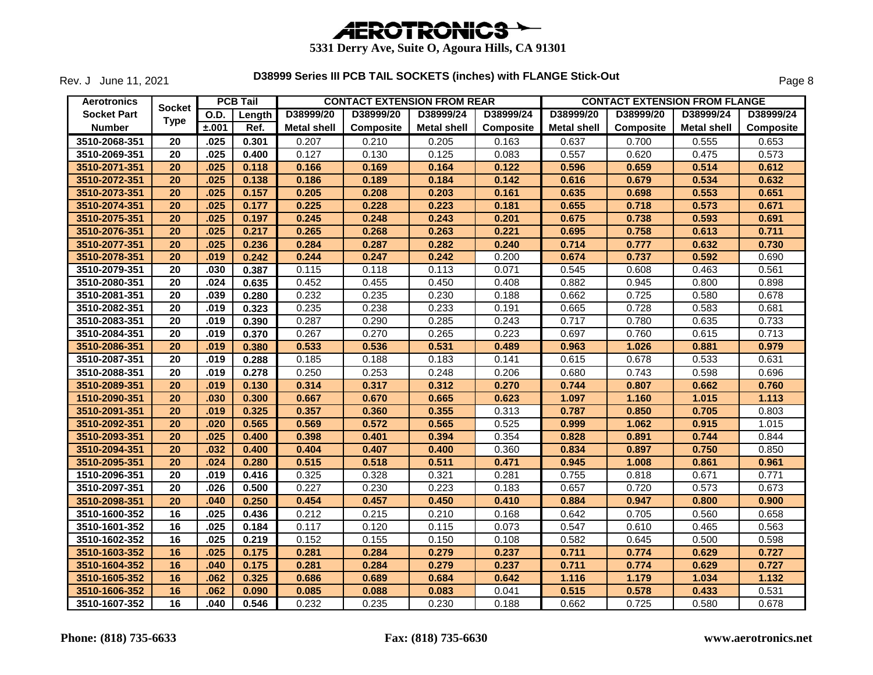

Rev. J June 11, 2021

| <b>Aerotronics</b> | <b>Socket</b>   |             | <b>PCB Tail</b> |                    |                  | <b>CONTACT EXTENSION FROM REAR</b> |                  | <b>CONTACT EXTENSION FROM FLANGE</b> |                  |                    |                  |
|--------------------|-----------------|-------------|-----------------|--------------------|------------------|------------------------------------|------------------|--------------------------------------|------------------|--------------------|------------------|
| <b>Socket Part</b> |                 | <b>O.D.</b> | Length          | D38999/20          | D38999/20        | D38999/24                          | D38999/24        | D38999/20                            | D38999/20        | D38999/24          | D38999/24        |
| <b>Number</b>      | <b>Type</b>     | ±.001       | Ref.            | <b>Metal shell</b> | <b>Composite</b> | Metal shell                        | <b>Composite</b> | <b>Metal shell</b>                   | <b>Composite</b> | <b>Metal shell</b> | <b>Composite</b> |
| 3510-2068-351      | 20              | .025        | 0.301           | 0.207              | 0.210            | 0.205                              | 0.163            | 0.637                                | 0.700            | 0.555              | 0.653            |
| 3510-2069-351      | 20              | .025        | 0.400           | 0.127              | 0.130            | 0.125                              | 0.083            | 0.557                                | 0.620            | 0.475              | 0.573            |
| 3510-2071-351      | 20              | .025        | 0.118           | 0.166              | 0.169            | 0.164                              | 0.122            | 0.596                                | 0.659            | 0.514              | 0.612            |
| 3510-2072-351      | 20              | .025        | 0.138           | 0.186              | 0.189            | 0.184                              | 0.142            | 0.616                                | 0.679            | 0.534              | 0.632            |
| 3510-2073-351      | 20              | .025        | 0.157           | 0.205              | 0.208            | 0.203                              | 0.161            | 0.635                                | 0.698            | 0.553              | 0.651            |
| 3510-2074-351      | 20              | .025        | 0.177           | 0.225              | 0.228            | 0.223                              | 0.181            | 0.655                                | 0.718            | 0.573              | 0.671            |
| 3510-2075-351      | 20              | .025        | 0.197           | 0.245              | 0.248            | 0.243                              | 0.201            | 0.675                                | 0.738            | 0.593              | 0.691            |
| 3510-2076-351      | 20              | .025        | 0.217           | 0.265              | 0.268            | 0.263                              | 0.221            | 0.695                                | 0.758            | 0.613              | 0.711            |
| 3510-2077-351      | 20              | .025        | 0.236           | 0.284              | 0.287            | 0.282                              | 0.240            | 0.714                                | 0.777            | 0.632              | 0.730            |
| 3510-2078-351      | 20              | .019        | 0.242           | 0.244              | 0.247            | 0.242                              | 0.200            | 0.674                                | 0.737            | 0.592              | 0.690            |
| 3510-2079-351      | 20              | .030        | 0.387           | 0.115              | 0.118            | 0.113                              | 0.071            | 0.545                                | 0.608            | 0.463              | 0.561            |
| 3510-2080-351      | $\overline{20}$ | .024        | 0.635           | 0.452              | 0.455            | 0.450                              | 0.408            | 0.882                                | 0.945            | 0.800              | 0.898            |
| 3510-2081-351      | 20              | .039        | 0.280           | 0.232              | 0.235            | 0.230                              | 0.188            | 0.662                                | 0.725            | 0.580              | 0.678            |
| 3510-2082-351      | 20              | .019        | 0.323           | 0.235              | 0.238            | 0.233                              | 0.191            | 0.665                                | 0.728            | 0.583              | 0.681            |
| 3510-2083-351      | 20              | .019        | 0.390           | 0.287              | 0.290            | 0.285                              | 0.243            | 0.717                                | 0.780            | 0.635              | 0.733            |
| 3510-2084-351      | $\overline{20}$ | .019        | 0.370           | 0.267              | 0.270            | 0.265                              | 0.223            | 0.697                                | 0.760            | 0.615              | 0.713            |
| 3510-2086-351      | 20              | .019        | 0.380           | 0.533              | 0.536            | 0.531                              | 0.489            | 0.963                                | 1.026            | 0.881              | 0.979            |
| 3510-2087-351      | 20              | .019        | 0.288           | 0.185              | 0.188            | 0.183                              | 0.141            | 0.615                                | 0.678            | 0.533              | 0.631            |
| 3510-2088-351      | 20              | .019        | 0.278           | 0.250              | 0.253            | 0.248                              | 0.206            | 0.680                                | 0.743            | 0.598              | 0.696            |
| 3510-2089-351      | 20              | .019        | 0.130           | 0.314              | 0.317            | 0.312                              | 0.270            | 0.744                                | 0.807            | 0.662              | 0.760            |
| 1510-2090-351      | 20              | .030        | 0.300           | 0.667              | 0.670            | 0.665                              | 0.623            | 1.097                                | 1.160            | 1.015              | 1.113            |
| 3510-2091-351      | 20              | .019        | 0.325           | 0.357              | 0.360            | 0.355                              | 0.313            | 0.787                                | 0.850            | 0.705              | 0.803            |
| 3510-2092-351      | 20              | .020        | 0.565           | 0.569              | 0.572            | 0.565                              | 0.525            | 0.999                                | 1.062            | 0.915              | 1.015            |
| 3510-2093-351      | 20              | .025        | 0.400           | 0.398              | 0.401            | 0.394                              | 0.354            | 0.828                                | 0.891            | 0.744              | 0.844            |
| 3510-2094-351      | 20              | .032        | 0.400           | 0.404              | 0.407            | 0.400                              | 0.360            | 0.834                                | 0.897            | 0.750              | 0.850            |
| 3510-2095-351      | 20              | .024        | 0.280           | 0.515              | 0.518            | 0.511                              | 0.471            | 0.945                                | 1.008            | 0.861              | 0.961            |
| 1510-2096-351      | 20              | .019        | 0.416           | 0.325              | 0.328            | 0.321                              | 0.281            | 0.755                                | 0.818            | 0.671              | 0.771            |
| 3510-2097-351      | 20              | .026        | 0.500           | 0.227              | 0.230            | 0.223                              | 0.183            | 0.657                                | 0.720            | 0.573              | 0.673            |
| 3510-2098-351      | 20              | .040        | 0.250           | 0.454              | 0.457            | 0.450                              | 0.410            | 0.884                                | 0.947            | 0.800              | 0.900            |
| 3510-1600-352      | 16              | .025        | 0.436           | 0.212              | 0.215            | 0.210                              | 0.168            | 0.642                                | 0.705            | 0.560              | 0.658            |
| 3510-1601-352      | 16              | .025        | 0.184           | 0.117              | 0.120            | 0.115                              | 0.073            | 0.547                                | 0.610            | 0.465              | 0.563            |
| 3510-1602-352      | 16              | .025        | 0.219           | 0.152              | 0.155            | 0.150                              | 0.108            | 0.582                                | 0.645            | 0.500              | 0.598            |
| 3510-1603-352      | 16              | .025        | 0.175           | 0.281              | 0.284            | 0.279                              | 0.237            | 0.711                                | 0.774            | 0.629              | 0.727            |
| 3510-1604-352      | 16              | .040        | 0.175           | 0.281              | 0.284            | 0.279                              | 0.237            | 0.711                                | 0.774            | 0.629              | 0.727            |
| 3510-1605-352      | 16              | .062        | 0.325           | 0.686              | 0.689            | 0.684                              | 0.642            | 1.116                                | 1.179            | 1.034              | 1.132            |
| 3510-1606-352      | 16              | .062        | 0.090           | 0.085              | 0.088            | 0.083                              | 0.041            | 0.515                                | 0.578            | 0.433              | 0.531            |
| 3510-1607-352      | $\overline{16}$ | .040        | 0.546           | 0.232              | 0.235            | 0.230                              | 0.188            | 0.662                                | 0.725            | 0.580              | 0.678            |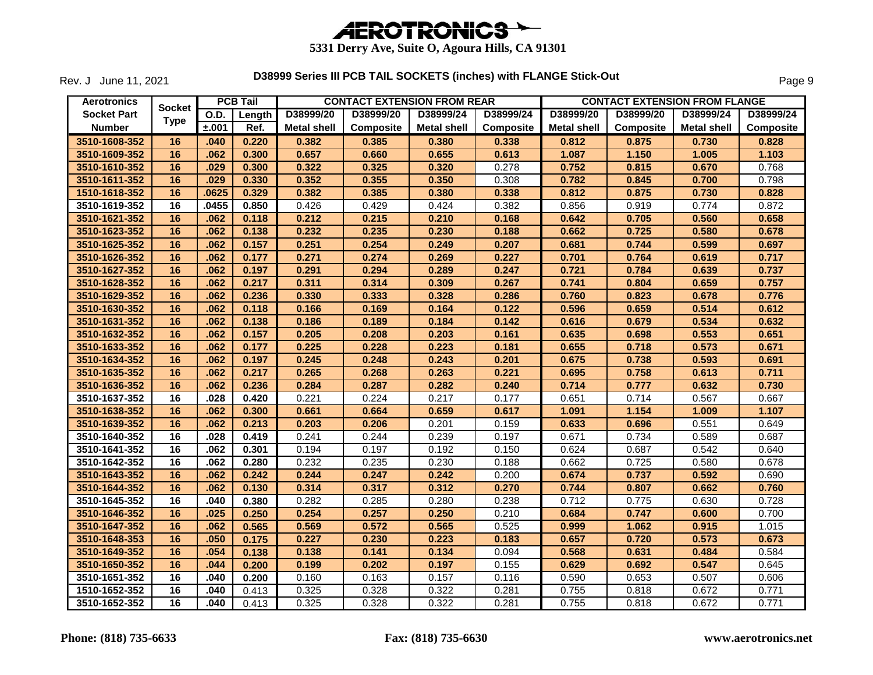

Rev. J June 11, 2021

| <b>Aerotronics</b> |               |       | <b>PCB Tail</b> |                    | <b>CONTACT EXTENSION FROM REAR</b> |                    |           | <b>CONTACT EXTENSION FROM FLANGE</b> |           |                    |           |  |
|--------------------|---------------|-------|-----------------|--------------------|------------------------------------|--------------------|-----------|--------------------------------------|-----------|--------------------|-----------|--|
| <b>Socket Part</b> | <b>Socket</b> | O.D.  | Length          | D38999/20          | D38999/20                          | D38999/24          | D38999/24 | D38999/20                            | D38999/20 | D38999/24          | D38999/24 |  |
| <b>Number</b>      | <b>Type</b>   | ±.001 | Ref.            | <b>Metal shell</b> | <b>Composite</b>                   | <b>Metal shell</b> | Composite | <b>Metal shell</b>                   | Composite | <b>Metal shell</b> | Composite |  |
| 3510-1608-352      | 16            | .040  | 0.220           | 0.382              | 0.385                              | 0.380              | 0.338     | 0.812                                | 0.875     | 0.730              | 0.828     |  |
| 3510-1609-352      | 16            | .062  | 0.300           | 0.657              | 0.660                              | 0.655              | 0.613     | 1.087                                | 1.150     | 1.005              | 1.103     |  |
| 3510-1610-352      | 16            | .029  | 0.300           | 0.322              | 0.325                              | 0.320              | 0.278     | 0.752                                | 0.815     | 0.670              | 0.768     |  |
| 3510-1611-352      | 16            | .029  | 0.330           | 0.352              | 0.355                              | 0.350              | 0.308     | 0.782                                | 0.845     | 0.700              | 0.798     |  |
| 1510-1618-352      | 16            | .0625 | 0.329           | 0.382              | 0.385                              | 0.380              | 0.338     | 0.812                                | 0.875     | 0.730              | 0.828     |  |
| 3510-1619-352      | 16            | .0455 | 0.850           | 0.426              | 0.429                              | 0.424              | 0.382     | 0.856                                | 0.919     | 0.774              | 0.872     |  |
| 3510-1621-352      | 16            | .062  | 0.118           | 0.212              | 0.215                              | 0.210              | 0.168     | 0.642                                | 0.705     | 0.560              | 0.658     |  |
| 3510-1623-352      | 16            | .062  | 0.138           | 0.232              | 0.235                              | 0.230              | 0.188     | 0.662                                | 0.725     | 0.580              | 0.678     |  |
| 3510-1625-352      | 16            | .062  | 0.157           | 0.251              | 0.254                              | 0.249              | 0.207     | 0.681                                | 0.744     | 0.599              | 0.697     |  |
| 3510-1626-352      | 16            | .062  | 0.177           | 0.271              | 0.274                              | 0.269              | 0.227     | 0.701                                | 0.764     | 0.619              | 0.717     |  |
| 3510-1627-352      | 16            | .062  | 0.197           | 0.291              | 0.294                              | 0.289              | 0.247     | 0.721                                | 0.784     | 0.639              | 0.737     |  |
| 3510-1628-352      | 16            | .062  | 0.217           | 0.311              | 0.314                              | 0.309              | 0.267     | 0.741                                | 0.804     | 0.659              | 0.757     |  |
| 3510-1629-352      | 16            | .062  | 0.236           | 0.330              | 0.333                              | 0.328              | 0.286     | 0.760                                | 0.823     | 0.678              | 0.776     |  |
| 3510-1630-352      | 16            | .062  | 0.118           | 0.166              | 0.169                              | 0.164              | 0.122     | 0.596                                | 0.659     | 0.514              | 0.612     |  |
| 3510-1631-352      | 16            | .062  | 0.138           | 0.186              | 0.189                              | 0.184              | 0.142     | 0.616                                | 0.679     | 0.534              | 0.632     |  |
| 3510-1632-352      | 16            | .062  | 0.157           | 0.205              | 0.208                              | 0.203              | 0.161     | 0.635                                | 0.698     | 0.553              | 0.651     |  |
| 3510-1633-352      | 16            | .062  | 0.177           | 0.225              | 0.228                              | 0.223              | 0.181     | 0.655                                | 0.718     | 0.573              | 0.671     |  |
| 3510-1634-352      | 16            | .062  | 0.197           | 0.245              | 0.248                              | 0.243              | 0.201     | 0.675                                | 0.738     | 0.593              | 0.691     |  |
| 3510-1635-352      | 16            | .062  | 0.217           | 0.265              | 0.268                              | 0.263              | 0.221     | 0.695                                | 0.758     | 0.613              | 0.711     |  |
| 3510-1636-352      | 16            | .062  | 0.236           | 0.284              | 0.287                              | 0.282              | 0.240     | 0.714                                | 0.777     | 0.632              | 0.730     |  |
| 3510-1637-352      | 16            | .028  | 0.420           | 0.221              | 0.224                              | 0.217              | 0.177     | 0.651                                | 0.714     | 0.567              | 0.667     |  |
| 3510-1638-352      | 16            | .062  | 0.300           | 0.661              | 0.664                              | 0.659              | 0.617     | 1.091                                | 1.154     | 1.009              | 1.107     |  |
| 3510-1639-352      | 16            | .062  | 0.213           | 0.203              | 0.206                              | 0.201              | 0.159     | 0.633                                | 0.696     | 0.551              | 0.649     |  |
| 3510-1640-352      | 16            | .028  | 0.419           | 0.241              | 0.244                              | 0.239              | 0.197     | 0.671                                | 0.734     | 0.589              | 0.687     |  |
| 3510-1641-352      | 16            | .062  | 0.301           | 0.194              | 0.197                              | 0.192              | 0.150     | 0.624                                | 0.687     | 0.542              | 0.640     |  |
| 3510-1642-352      | 16            | .062  | 0.280           | 0.232              | 0.235                              | 0.230              | 0.188     | 0.662                                | 0.725     | 0.580              | 0.678     |  |
| 3510-1643-352      | 16            | .062  | 0.242           | 0.244              | 0.247                              | 0.242              | 0.200     | 0.674                                | 0.737     | 0.592              | 0.690     |  |
| 3510-1644-352      | 16            | .062  | 0.130           | 0.314              | 0.317                              | 0.312              | 0.270     | 0.744                                | 0.807     | 0.662              | 0.760     |  |
| 3510-1645-352      | 16            | .040  | 0.380           | 0.282              | 0.285                              | 0.280              | 0.238     | 0.712                                | 0.775     | 0.630              | 0.728     |  |
| 3510-1646-352      | 16            | .025  | 0.250           | 0.254              | 0.257                              | 0.250              | 0.210     | 0.684                                | 0.747     | 0.600              | 0.700     |  |
| 3510-1647-352      | 16            | .062  | 0.565           | 0.569              | 0.572                              | 0.565              | 0.525     | 0.999                                | 1.062     | 0.915              | 1.015     |  |
| 3510-1648-353      | 16            | .050  | 0.175           | 0.227              | 0.230                              | 0.223              | 0.183     | 0.657                                | 0.720     | 0.573              | 0.673     |  |
| 3510-1649-352      | 16            | .054  | 0.138           | 0.138              | 0.141                              | 0.134              | 0.094     | 0.568                                | 0.631     | 0.484              | 0.584     |  |
| 3510-1650-352      | 16            | .044  | 0.200           | 0.199              | 0.202                              | 0.197              | 0.155     | 0.629                                | 0.692     | 0.547              | 0.645     |  |
| 3510-1651-352      | 16            | .040  | 0.200           | 0.160              | 0.163                              | 0.157              | 0.116     | 0.590                                | 0.653     | 0.507              | 0.606     |  |
| 1510-1652-352      | 16            | .040  | 0.413           | 0.325              | 0.328                              | 0.322              | 0.281     | 0.755                                | 0.818     | 0.672              | 0.771     |  |
| 3510-1652-352      | 16            | .040  | 0.413           | 0.325              | 0.328                              | 0.322              | 0.281     | 0.755                                | 0.818     | 0.672              | 0.771     |  |